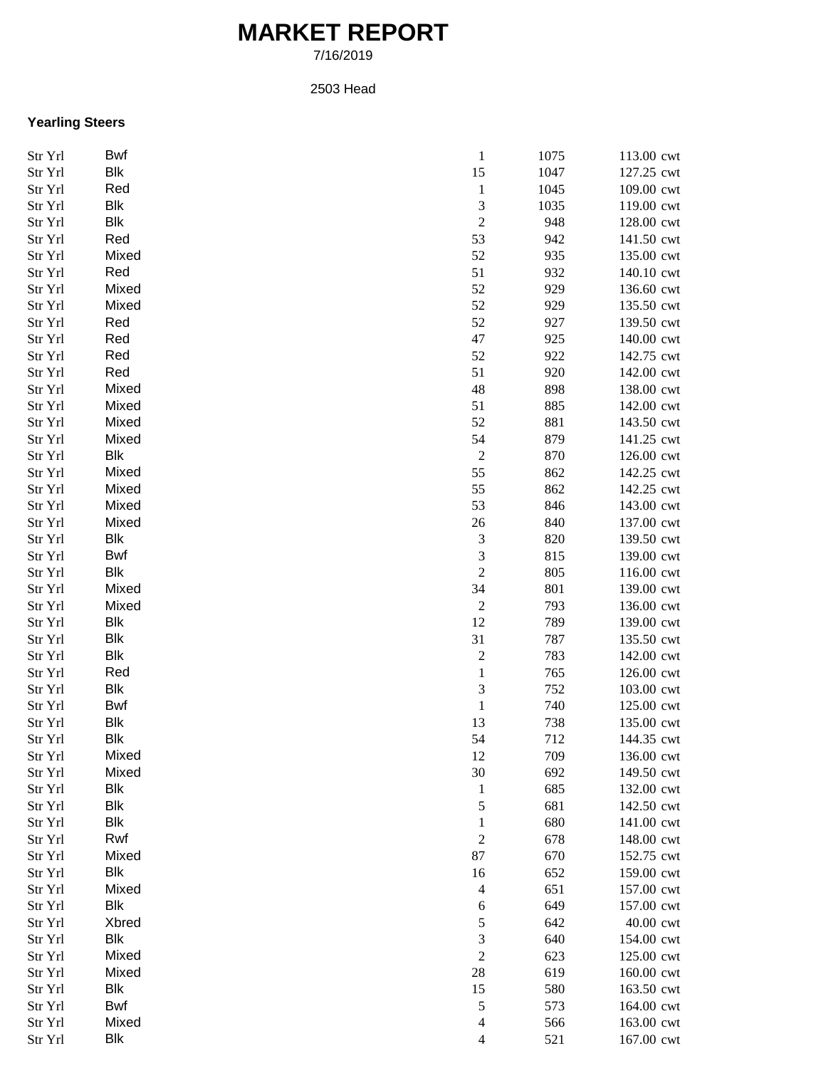## **MARKET REPORT**

7/16/2019

2503 Head

## **Yearling Steers**

| Str Yrl | Bwf        | $\,1$<br>1075          | 113.00 cwt        |  |
|---------|------------|------------------------|-------------------|--|
| Str Yrl | Blk        | 15<br>1047             | 127.25 cwt        |  |
| Str Yrl | Red        | $\mathbf{1}$<br>1045   | 109.00 cwt        |  |
| Str Yrl | Blk        | $\mathfrak{Z}$<br>1035 | 119.00 cwt        |  |
| Str Yrl | <b>Blk</b> | $\overline{c}$         | 948<br>128.00 cwt |  |
| Str Yrl | Red        | 53                     | 942<br>141.50 cwt |  |
| Str Yrl | Mixed      | 52                     | 935<br>135.00 cwt |  |
| Str Yrl | Red        | 51                     | 932<br>140.10 cwt |  |
| Str Yrl | Mixed      | 52                     | 929<br>136.60 cwt |  |
| Str Yrl | Mixed      | 52                     | 929<br>135.50 cwt |  |
| Str Yrl | Red        | 52                     | 927<br>139.50 cwt |  |
| Str Yrl | Red        | 47                     | 925<br>140.00 cwt |  |
| Str Yrl | Red        | 52                     | 922<br>142.75 cwt |  |
| Str Yrl | Red        | 51                     | 920<br>142.00 cwt |  |
| Str Yrl | Mixed      | 48                     | 898<br>138.00 cwt |  |
| Str Yrl | Mixed      | 51                     | 885<br>142.00 cwt |  |
|         |            |                        |                   |  |
| Str Yrl | Mixed      | 52                     | 881<br>143.50 cwt |  |
| Str Yrl | Mixed      | 54                     | 879<br>141.25 cwt |  |
| Str Yrl | Blk        | $\boldsymbol{2}$       | 870<br>126.00 cwt |  |
| Str Yrl | Mixed      | 55                     | 862<br>142.25 cwt |  |
| Str Yrl | Mixed      | 55                     | 862<br>142.25 cwt |  |
| Str Yrl | Mixed      | 53                     | 846<br>143.00 cwt |  |
| Str Yrl | Mixed      | 26                     | 840<br>137.00 cwt |  |
| Str Yrl | Blk        | 3                      | 820<br>139.50 cwt |  |
| Str Yrl | <b>Bwf</b> | 3                      | 815<br>139.00 cwt |  |
| Str Yrl | Blk        | $\sqrt{2}$             | 805<br>116.00 cwt |  |
| Str Yrl | Mixed      | 34                     | 801<br>139.00 cwt |  |
| Str Yrl | Mixed      | $\boldsymbol{2}$       | 793<br>136.00 cwt |  |
| Str Yrl | Blk        | 12                     | 789<br>139.00 cwt |  |
| Str Yrl | <b>Blk</b> | 31                     | 787<br>135.50 cwt |  |
| Str Yrl | <b>Blk</b> | $\overline{c}$         | 783<br>142.00 cwt |  |
| Str Yrl | Red        | $\,1$                  | 765<br>126.00 cwt |  |
| Str Yrl | Blk        | 3                      | 752<br>103.00 cwt |  |
| Str Yrl | Bwf        | $\,1\,$                | 740<br>125.00 cwt |  |
| Str Yrl | <b>Blk</b> | 13                     | 738<br>135.00 cwt |  |
| Str Yrl | <b>Blk</b> | 54                     | 712<br>144.35 cwt |  |
| Str Yrl | Mixed      | 12                     | 709<br>136.00 cwt |  |
| Str Yrl | Mixed      | 30                     | 692<br>149.50 cwt |  |
| Str Yrl | <b>Blk</b> | $\mathbf{1}$           | 685<br>132.00 cwt |  |
| Str Yrl | Blk        | 5                      | 681<br>142.50 cwt |  |
| Str Yrl | Blk        | $\mathbf 1$            | 680<br>141.00 cwt |  |
| Str Yrl | Rwf        | $\boldsymbol{2}$       | 678<br>148.00 cwt |  |
| Str Yrl | Mixed      | 87                     | 670<br>152.75 cwt |  |
| Str Yrl | Blk        | 16                     | 159.00 cwt<br>652 |  |
|         | Mixed      |                        | 651<br>157.00 cwt |  |
| Str Yrl | <b>Blk</b> | 4                      |                   |  |
| Str Yrl |            | 6                      | 649<br>157.00 cwt |  |
| Str Yrl | Xbred      | 5                      | 642<br>40.00 cwt  |  |
| Str Yrl | Blk        | 3                      | 640<br>154.00 cwt |  |
| Str Yrl | Mixed      | $\sqrt{2}$             | 623<br>125.00 cwt |  |
| Str Yrl | Mixed      | $28\,$                 | 619<br>160.00 cwt |  |
| Str Yrl | Blk        | 15                     | 580<br>163.50 cwt |  |
| Str Yrl | Bwf        | $\sqrt{5}$             | 573<br>164.00 cwt |  |
| Str Yrl | Mixed      | $\overline{4}$         | 566<br>163.00 cwt |  |
| Str Yrl | Blk        | 4                      | 521<br>167.00 cwt |  |
|         |            |                        |                   |  |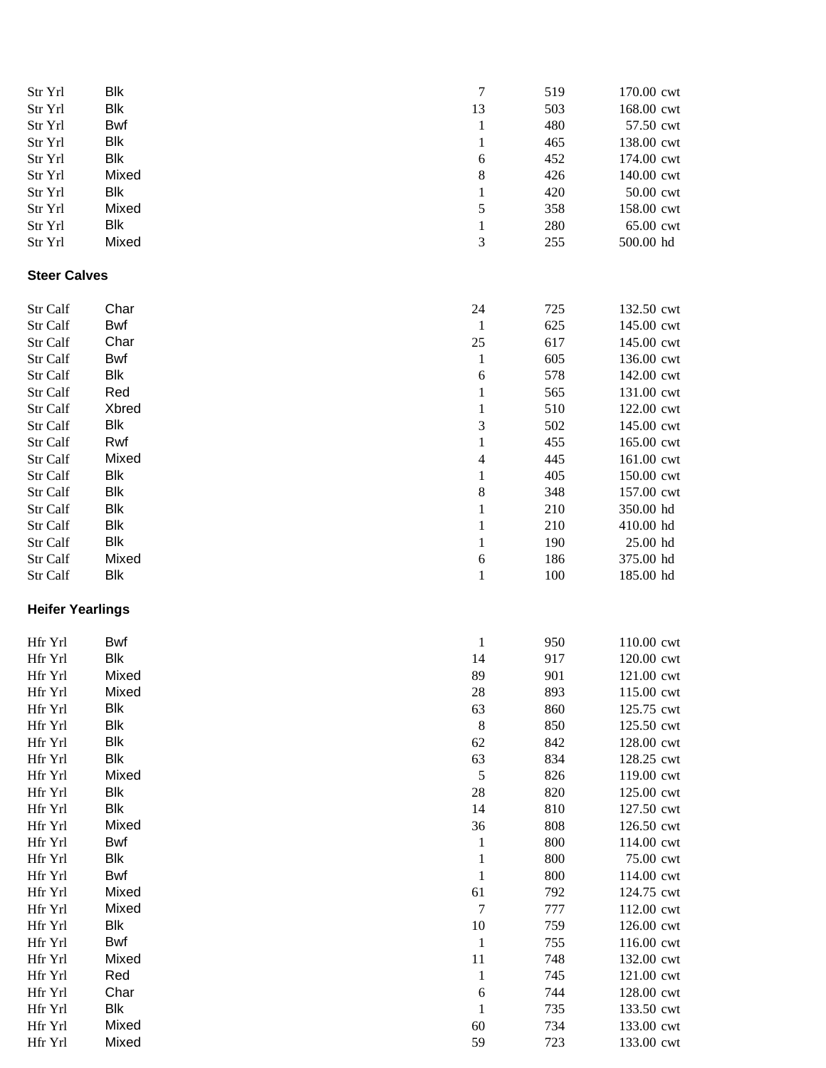| Str Yrl                 | <b>Blk</b> | $\boldsymbol{7}$ | 519 | 170.00 cwt |
|-------------------------|------------|------------------|-----|------------|
| Str Yrl                 | Blk        | 13               | 503 | 168.00 cwt |
| Str Yrl                 | Bwf        | $\mathbf{1}$     | 480 | 57.50 cwt  |
| Str Yrl                 | <b>Blk</b> | $\mathbf{1}$     | 465 | 138.00 cwt |
| Str Yrl                 | Blk        | 6                | 452 | 174.00 cwt |
| Str Yrl                 | Mixed      | $\,$ 8 $\,$      | 426 | 140.00 cwt |
| Str Yrl                 | <b>Blk</b> | $\mathbf{1}$     | 420 | 50.00 cwt  |
| Str Yrl                 | Mixed      | 5                | 358 | 158.00 cwt |
| Str Yrl                 | <b>Blk</b> | $\mathbf{1}$     | 280 | 65.00 cwt  |
| Str Yrl                 | Mixed      | 3                | 255 | 500.00 hd  |
|                         |            |                  |     |            |
| <b>Steer Calves</b>     |            |                  |     |            |
| Str Calf                | Char       | 24               | 725 | 132.50 cwt |
| Str Calf                | <b>Bwf</b> | $\mathbf{1}$     | 625 | 145.00 cwt |
| Str Calf                | Char       | 25               | 617 | 145.00 cwt |
| Str Calf                | <b>Bwf</b> | $\mathbf{1}$     | 605 | 136.00 cwt |
| Str Calf                | Blk        | 6                | 578 | 142.00 cwt |
| Str Calf                | Red        | $\mathbf{1}$     | 565 | 131.00 cwt |
| Str Calf                | Xbred      | $\mathbf{1}$     | 510 | 122.00 cwt |
| Str Calf                | <b>Blk</b> | 3                | 502 | 145.00 cwt |
| Str Calf                | Rwf        | $\mathbf{1}$     | 455 | 165.00 cwt |
| Str Calf                | Mixed      | 4                | 445 | 161.00 cwt |
| Str Calf                | <b>Blk</b> | $\mathbf{1}$     | 405 | 150.00 cwt |
| Str Calf                | <b>Blk</b> | $\,$ 8 $\,$      | 348 | 157.00 cwt |
| Str Calf                | <b>Blk</b> | $\,1$            | 210 | 350.00 hd  |
| Str Calf                | <b>Blk</b> | $\,1$            | 210 | 410.00 hd  |
| Str Calf                | <b>Blk</b> | $\mathbf{1}$     | 190 | 25.00 hd   |
| Str Calf                | Mixed      | 6                | 186 | 375.00 hd  |
| Str Calf                | Blk        | $\mathbf{1}$     | 100 | 185.00 hd  |
| <b>Heifer Yearlings</b> |            |                  |     |            |
|                         |            |                  |     |            |
| Hfr Yrl                 | <b>Bwf</b> | $\mathbf{1}$     | 950 | 110.00 cwt |
| Hfr Yrl                 | <b>Blk</b> | 14               | 917 | 120.00 cwt |
| Hfr Yrl                 | Mixed      | 89               | 901 | 121.00 cwt |
| Hfr Yrl                 | Mixed      | 28               | 893 | 115.00 cwt |
| Hfr Yrl                 | <b>Blk</b> | 63               | 860 | 125.75 cwt |
| Hfr Yrl                 | <b>Blk</b> | $\,8\,$          | 850 | 125.50 cwt |
| Hfr Yrl                 | <b>Blk</b> | 62               | 842 | 128.00 cwt |
| Hfr Yrl                 | <b>Blk</b> | 63               | 834 | 128.25 cwt |
| Hfr Yrl                 | Mixed      | $\sqrt{5}$       | 826 | 119.00 cwt |
| Hfr Yrl                 | <b>Blk</b> | $28\,$           | 820 | 125.00 cwt |
| Hfr Yrl                 | <b>Blk</b> | 14               | 810 | 127.50 cwt |
| Hfr Yrl                 | Mixed      | 36               | 808 | 126.50 cwt |
| Hfr Yrl                 | Bwf        | $\mathbf{1}$     | 800 | 114.00 cwt |
| Hfr Yrl                 | Blk        | $\mathbf{1}$     | 800 | 75.00 cwt  |
| Hfr Yrl                 | Bwf        | $\mathbf{1}$     | 800 | 114.00 cwt |
| Hfr Yrl                 | Mixed      | 61               | 792 | 124.75 cwt |
| Hfr Yrl                 | Mixed      | $\boldsymbol{7}$ | 777 | 112.00 cwt |
| Hfr Yrl                 | Blk        | 10               | 759 | 126.00 cwt |
| Hfr Yrl                 | Bwf        | $\mathbf{1}$     | 755 | 116.00 cwt |
| Hfr Yrl                 | Mixed      | 11               | 748 | 132.00 cwt |
| Hfr Yrl                 | Red        | $\mathbf{1}$     | 745 | 121.00 cwt |
| Hfr Yrl                 | Char       | $\sqrt{6}$       | 744 | 128.00 cwt |
| Hfr Yrl                 | Blk        | $\mathbf{1}$     | 735 | 133.50 cwt |
| Hfr Yrl                 | Mixed      | 60               | 734 | 133.00 cwt |
| Hfr Yrl                 | Mixed      | 59               | 723 | 133.00 cwt |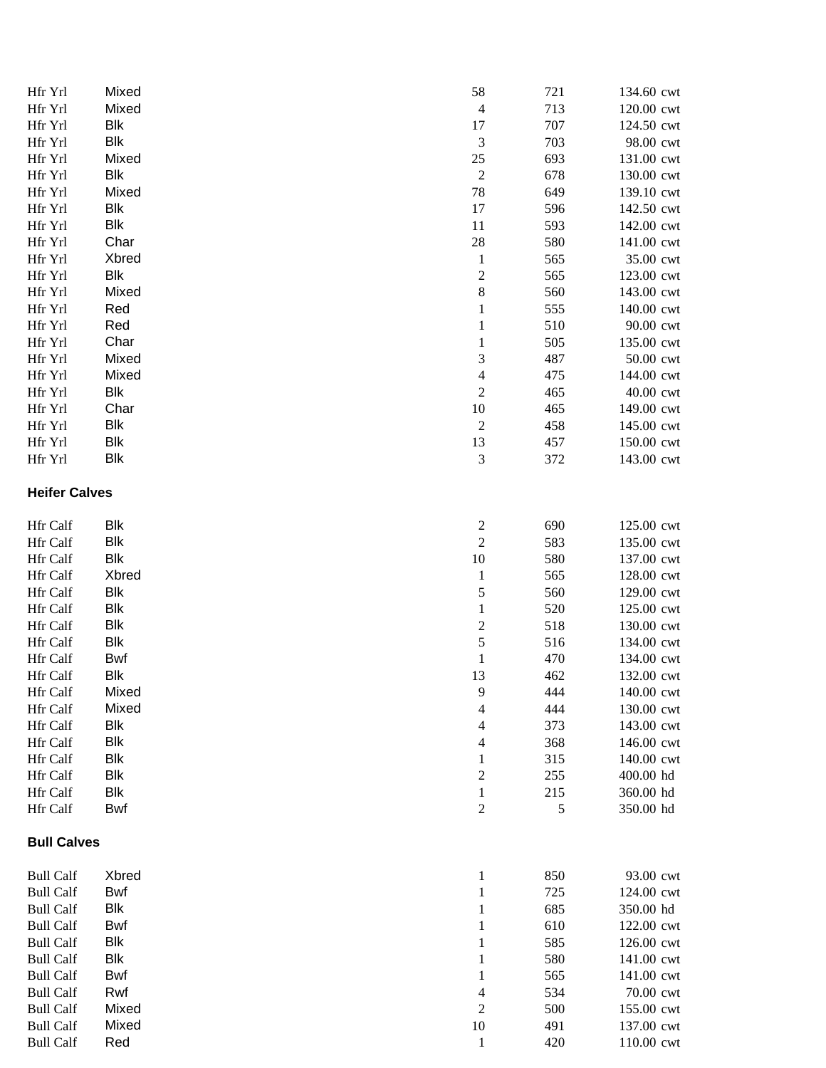| Hfr Yrl              | Mixed      | 58                             | 721      | 134.60 cwt             |
|----------------------|------------|--------------------------------|----------|------------------------|
| Hfr Yrl              | Mixed      | $\overline{4}$                 | 713      | 120.00 cwt             |
| Hfr Yrl              | Blk        | 17                             | 707      | 124.50 cwt             |
| Hfr Yrl              | <b>Blk</b> | $\mathfrak 3$                  | 703      | 98.00 cwt              |
| Hfr Yrl              | Mixed      | $25\,$                         | 693      | 131.00 cwt             |
| Hfr Yrl              | Blk        | $\boldsymbol{2}$               | 678      | 130.00 cwt             |
| Hfr Yrl              | Mixed      | 78                             | 649      | 139.10 cwt             |
| Hfr Yrl              | Blk        | 17                             | 596      | 142.50 cwt             |
| Hfr Yrl              | <b>Blk</b> | 11                             | 593      | 142.00 cwt             |
| Hfr Yrl              | Char       | $28\,$                         | 580      | 141.00 cwt             |
| Hfr Yrl              | Xbred      | $\mathbf{1}$                   | 565      | 35.00 cwt              |
| Hfr Yrl              | Blk        | $\boldsymbol{2}$               | 565      | 123.00 cwt             |
| Hfr Yrl              | Mixed      | $\,8\,$                        | 560      | 143.00 cwt             |
| Hfr Yrl              | Red        | $\mathbf{1}$                   | 555      | 140.00 cwt             |
| Hfr Yrl              | Red        | 1                              | 510      | 90.00 cwt              |
| Hfr Yrl              | Char       | $\mathbf{1}$                   | 505      | 135.00 cwt             |
| Hfr Yrl              | Mixed      | $\mathfrak 3$                  | 487      | 50.00 cwt              |
| Hfr Yrl              | Mixed      | $\overline{4}$                 | 475      | 144.00 cwt             |
| Hfr Yrl              | <b>Blk</b> | $\sqrt{2}$                     | 465      | 40.00 cwt              |
| Hfr Yrl              | Char       | $10\,$                         | 465      | 149.00 cwt             |
| Hfr Yrl              | <b>Blk</b> | $\boldsymbol{2}$               | 458      | 145.00 cwt             |
| Hfr Yrl              | <b>Blk</b> | 13                             | 457      | 150.00 cwt             |
| Hfr Yrl              | <b>Blk</b> | 3                              | 372      | 143.00 cwt             |
| <b>Heifer Calves</b> |            |                                |          |                        |
| Hfr Calf             | Blk        | $\overline{c}$                 | 690      | 125.00 cwt             |
| Hfr Calf             | Blk        | $\sqrt{2}$                     | 583      | 135.00 cwt             |
| Hfr Calf             | <b>Blk</b> | 10                             | 580      | 137.00 cwt             |
| Hfr Calf             | Xbred      | $\mathbf{1}$                   | 565      | 128.00 cwt             |
| Hfr Calf             | <b>Blk</b> | 5                              | 560      | 129.00 cwt             |
| Hfr Calf             | Blk        | $\mathbf{1}$                   | 520      | 125.00 cwt             |
| Hfr Calf             | <b>Blk</b> | $\boldsymbol{2}$               | 518      | 130.00 cwt             |
| Hfr Calf             | <b>Blk</b> | 5                              | 516      | 134.00 cwt             |
| Hfr Calf             | <b>Bwf</b> | $\mathbf{1}$                   | 470      | 134.00 cwt             |
| Hfr Calf             | Blk        | 13                             | 462      | 132.00 cwt             |
| <b>Hfr</b> Calf      | Mixed      | 9                              | 444      | 140.00 cwt             |
| <b>Hfr</b> Calf      | Mixed      | 4                              | 444      | 130.00 cwt             |
| Hfr Calf             | Blk        | 4                              | 373      | 143.00 cwt             |
| Hfr Calf             | Blk        | 4                              | 368      | 146.00 cwt             |
| Hfr Calf             | Blk        | $\mathbf{1}$                   | 315      | 140.00 cwt             |
| Hfr Calf             | Blk        | $\mathfrak{2}$                 | 255      | 400.00 hd              |
| Hfr Calf<br>Hfr Calf | Blk<br>Bwf | $\mathbf{1}$<br>$\mathfrak{2}$ | 215<br>5 | 360.00 hd<br>350.00 hd |
| <b>Bull Calves</b>   |            |                                |          |                        |
| <b>Bull Calf</b>     | Xbred      | $\mathbf{1}$                   | 850      | 93.00 cwt              |
| <b>Bull Calf</b>     | Bwf        | $\mathbf{1}$                   | 725      | 124.00 cwt             |
| <b>Bull Calf</b>     | <b>Blk</b> | 1                              | 685      | 350.00 hd              |
| <b>Bull Calf</b>     | Bwf        | 1                              | 610      | 122.00 cwt             |
| <b>Bull Calf</b>     | <b>Blk</b> | 1                              | 585      | 126.00 cwt             |
| <b>Bull Calf</b>     | <b>Blk</b> | 1                              | 580      | 141.00 cwt             |
| <b>Bull Calf</b>     | Bwf        | 1                              | 565      | 141.00 cwt             |
| <b>Bull Calf</b>     | Rwf        | 4                              | 534      | 70.00 cwt              |
| <b>Bull Calf</b>     | Mixed      | $\overline{c}$                 | 500      | 155.00 cwt             |
| <b>Bull Calf</b>     | Mixed      | 10                             | 491      | 137.00 cwt             |
| <b>Bull Calf</b>     | Red        | $\mathbf{1}$                   | 420      | 110.00 cwt             |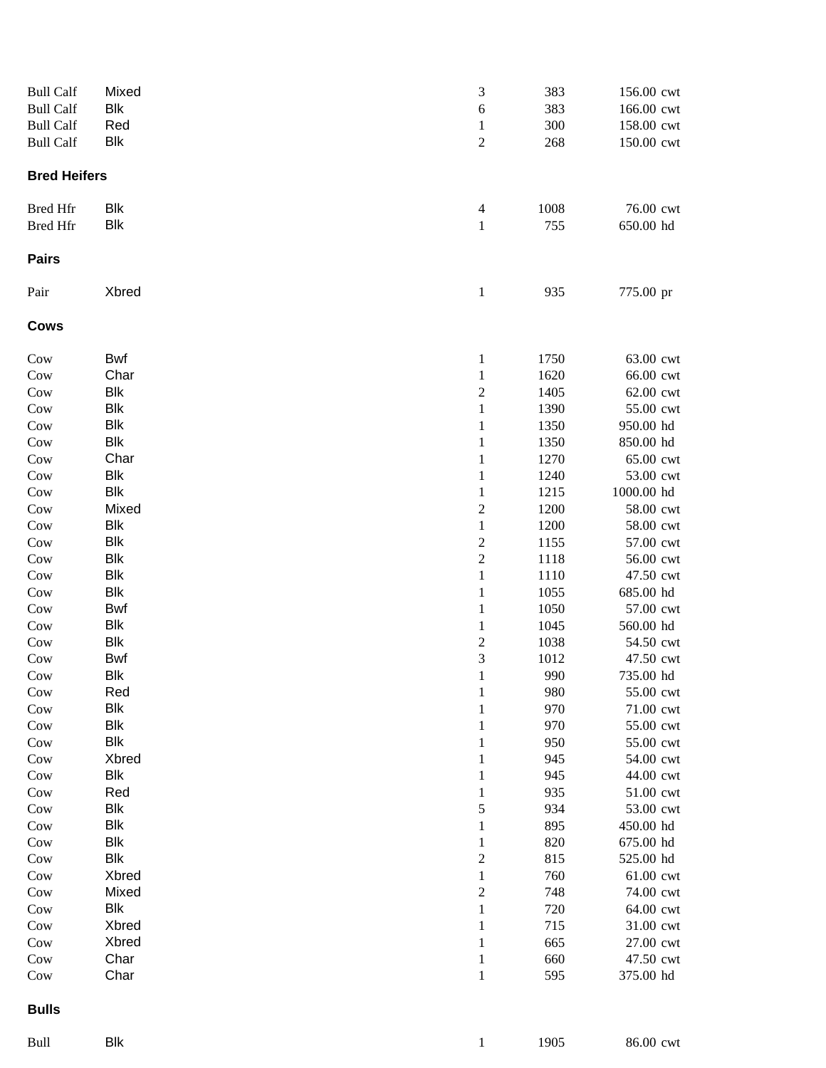| <b>Bull Calf</b>    | Mixed                    | $\sqrt{3}$              | 383          | 156.00 cwt             |
|---------------------|--------------------------|-------------------------|--------------|------------------------|
| <b>Bull Calf</b>    | Blk                      | $\boldsymbol{6}$        | 383          | 166.00 cwt             |
| <b>Bull Calf</b>    | Red                      | $\mathbf{1}$            | 300          | 158.00 cwt             |
| <b>Bull Calf</b>    | <b>Blk</b>               | $\boldsymbol{2}$        | 268          | 150.00 cwt             |
| <b>Bred Heifers</b> |                          |                         |              |                        |
| <b>Bred Hfr</b>     | Blk                      | $\overline{4}$          | 1008         | 76.00 cwt              |
| <b>Bred Hfr</b>     | <b>Blk</b>               | $\mathbf 1$             | 755          | 650.00 hd              |
| <b>Pairs</b>        |                          |                         |              |                        |
| Pair                | Xbred                    | $\mathbf{1}$            | 935          | 775.00 pr              |
| <b>Cows</b>         |                          |                         |              |                        |
| Cow                 | <b>Bwf</b>               | $\mathbf{1}$            | 1750         | 63.00 cwt              |
| Cow                 | Char                     | $\mathbf{1}$            | 1620         | 66.00 cwt              |
| Cow                 | <b>Blk</b>               | $\boldsymbol{2}$        | 1405         | 62.00 cwt              |
| Cow                 | <b>Blk</b>               | $\mathbf{1}$            | 1390         | 55.00 cwt              |
| Cow                 | <b>Blk</b>               | $\mathbf{1}$            | 1350         | 950.00 hd              |
| Cow                 | <b>Blk</b>               | $\mathbf{1}$            | 1350         | 850.00 hd              |
| Cow                 | Char                     | $\mathbf{1}$            | 1270         | 65.00 cwt              |
| Cow                 | <b>Blk</b>               | $\mathbf{1}$            | 1240         | 53.00 cwt              |
| Cow                 | <b>Blk</b>               | $\mathbf{1}$            | 1215         | 1000.00 hd             |
| Cow                 | Mixed                    | $\overline{c}$          | 1200         | 58.00 cwt              |
| Cow                 | <b>Blk</b>               | $\,1$                   | 1200         | 58.00 cwt              |
| Cow                 | <b>Blk</b>               | $\sqrt{2}$              | 1155         | 57.00 cwt              |
| Cow                 | <b>Blk</b>               | $\sqrt{2}$              | 1118         | 56.00 cwt              |
| Cow                 | <b>Blk</b>               | $\,1$                   | 1110         | 47.50 cwt              |
| Cow                 | <b>Blk</b>               | $\mathbf 1$             | 1055         | 685.00 hd              |
| Cow                 | Bwf                      | $\mathbf{1}$            | 1050         | 57.00 cwt              |
| Cow                 | <b>Blk</b><br><b>Blk</b> | $\mathbf{1}$            | 1045         | 560.00 hd              |
| Cow                 | Bwf                      | $\overline{c}$<br>3     | 1038<br>1012 | 54.50 cwt<br>47.50 cwt |
| Cow                 | Blk                      |                         | 990          | 735.00 hd              |
| Cow<br>Cow          | Red                      | $\mathbf{1}$            | 980          | 55.00 cwt              |
| Cow                 | <b>Blk</b>               | 1<br>1                  | 970          | 71.00 cwt              |
| Cow                 | <b>Blk</b>               | $\mathbf{1}$            | 970          | 55.00 cwt              |
| Cow                 | <b>Blk</b>               | $\mathbf{1}$            | 950          | 55.00 cwt              |
| Cow                 | Xbred                    | $\mathbf{1}$            | 945          | 54.00 cwt              |
| Cow                 | Blk                      | $\mathbf{1}$            | 945          | 44.00 cwt              |
| Cow                 | Red                      | $\mathbf{1}$            | 935          | 51.00 cwt              |
| Cow                 | Blk                      | 5                       | 934          | 53.00 cwt              |
| Cow                 | <b>Blk</b>               | $\mathbf{1}$            | 895          | 450.00 hd              |
| Cow                 | <b>Blk</b>               | $\mathbf{1}$            | 820          | 675.00 hd              |
| Cow                 | <b>Blk</b>               | $\overline{\mathbf{c}}$ | 815          | 525.00 hd              |
| Cow                 | Xbred                    | $\,1$                   | 760          | 61.00 cwt              |
| Cow                 | Mixed                    | $\boldsymbol{2}$        | 748          | 74.00 cwt              |
| Cow                 | <b>Blk</b>               | $\mathbf{1}$            | 720          | 64.00 cwt              |
| Cow                 | Xbred                    | $\mathbf 1$             | 715          | 31.00 cwt              |
| Cow                 | Xbred                    | $\mathbf{1}$            | 665          | 27.00 cwt              |
| Cow                 | Char                     | $\mathbf{1}$            | 660          | 47.50 cwt              |
| Cow                 | Char                     | $\mathbf{1}$            | 595          | 375.00 hd              |
| <b>Bulls</b>        |                          |                         |              |                        |
| Bull                | <b>Blk</b>               | $\mathbf{1}$            | 1905         | 86.00 cwt              |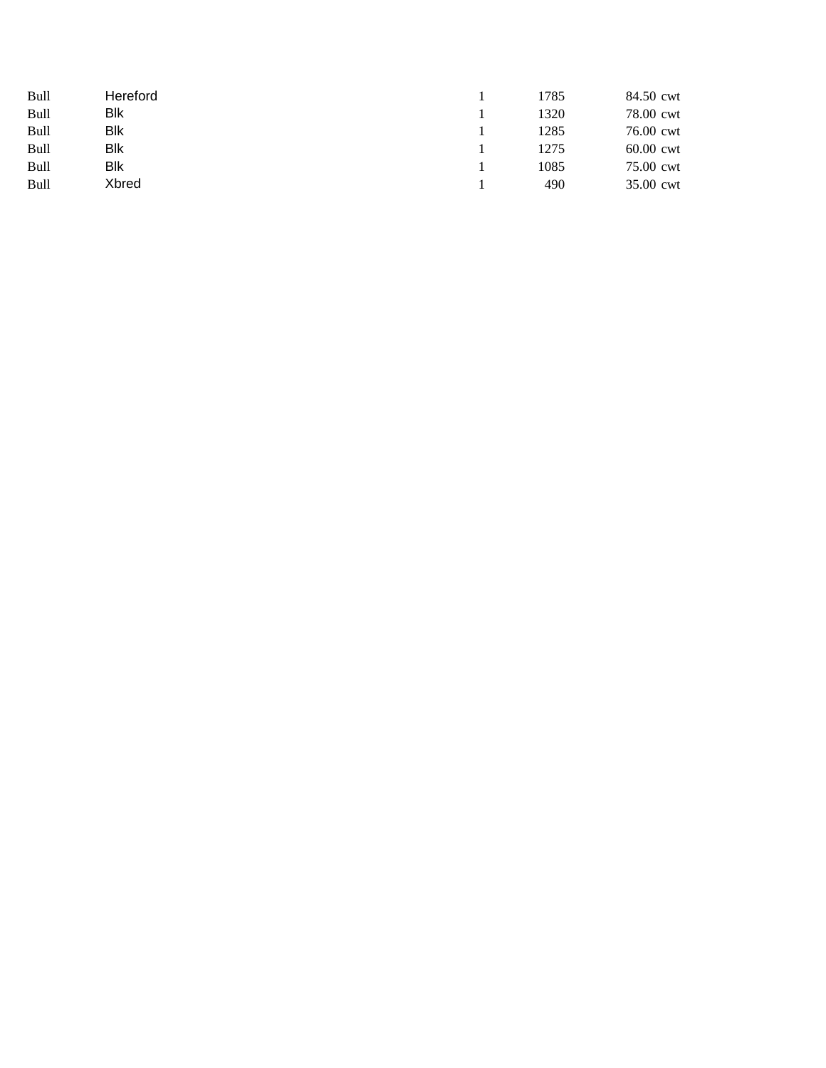| Bull | Hereford | 1785 | 84.50 cwt   |
|------|----------|------|-------------|
| Bull | Blk      | 1320 | 78.00 cwt   |
| Bull | Blk      | 1285 | 76.00 cwt   |
| Bull | Blk      | 1275 | $60.00$ cwt |
| Bull | Blk      | 1085 | 75.00 cwt   |
| Bull | Xbred    | 490  | 35.00 cwt   |